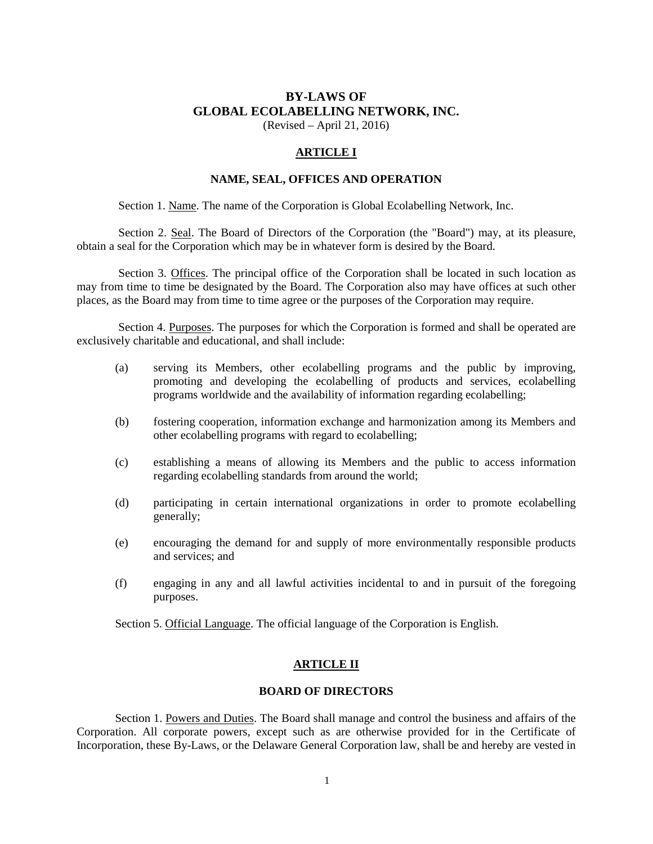# **BY-LAWS OF GLOBAL ECOLABELLING NETWORK, INC.**

(Revised – April 21, 2016)

# **ARTICLE I**

# **NAME, SEAL, OFFICES AND OPERATION**

Section 1. Name. The name of the Corporation is Global Ecolabelling Network, Inc.

Section 2. Seal. The Board of Directors of the Corporation (the "Board") may, at its pleasure, obtain a seal for the Corporation which may be in whatever form is desired by the Board.

Section 3. Offices. The principal office of the Corporation shall be located in such location as may from time to time be designated by the Board. The Corporation also may have offices at such other places, as the Board may from time to time agree or the purposes of the Corporation may require.

Section 4. Purposes. The purposes for which the Corporation is formed and shall be operated are exclusively charitable and educational, and shall include:

- (a) serving its Members, other ecolabelling programs and the public by improving, promoting and developing the ecolabelling of products and services, ecolabelling programs worldwide and the availability of information regarding ecolabelling;
- (b) fostering cooperation, information exchange and harmonization among its Members and other ecolabelling programs with regard to ecolabelling;
- (c) establishing a means of allowing its Members and the public to access information regarding ecolabelling standards from around the world;
- (d) participating in certain international organizations in order to promote ecolabelling generally;
- (e) encouraging the demand for and supply of more environmentally responsible products and services; and
- (f) engaging in any and all lawful activities incidental to and in pursuit of the foregoing purposes.

Section 5. Official Language. The official language of the Corporation is English.

## **ARTICLE II**

# **BOARD OF DIRECTORS**

 Section 1. Powers and Duties. The Board shall manage and control the business and affairs of the Corporation. All corporate powers, except such as are otherwise provided for in the Certificate of Incorporation, these By-Laws, or the Delaware General Corporation law, shall be and hereby are vested in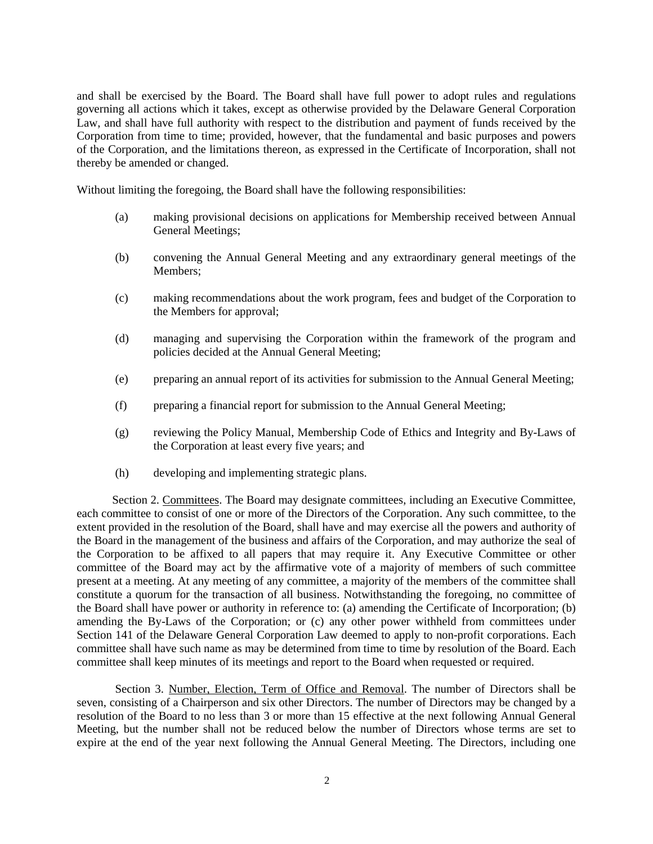and shall be exercised by the Board. The Board shall have full power to adopt rules and regulations governing all actions which it takes, except as otherwise provided by the Delaware General Corporation Law, and shall have full authority with respect to the distribution and payment of funds received by the Corporation from time to time; provided, however, that the fundamental and basic purposes and powers of the Corporation, and the limitations thereon, as expressed in the Certificate of Incorporation, shall not thereby be amended or changed.

Without limiting the foregoing, the Board shall have the following responsibilities:

- (a) making provisional decisions on applications for Membership received between Annual General Meetings;
- (b) convening the Annual General Meeting and any extraordinary general meetings of the Members;
- (c) making recommendations about the work program, fees and budget of the Corporation to the Members for approval;
- (d) managing and supervising the Corporation within the framework of the program and policies decided at the Annual General Meeting;
- (e) preparing an annual report of its activities for submission to the Annual General Meeting;
- (f) preparing a financial report for submission to the Annual General Meeting;
- (g) reviewing the Policy Manual, Membership Code of Ethics and Integrity and By-Laws of the Corporation at least every five years; and
- (h) developing and implementing strategic plans.

 Section 2. Committees. The Board may designate committees, including an Executive Committee, each committee to consist of one or more of the Directors of the Corporation. Any such committee, to the extent provided in the resolution of the Board, shall have and may exercise all the powers and authority of the Board in the management of the business and affairs of the Corporation, and may authorize the seal of the Corporation to be affixed to all papers that may require it. Any Executive Committee or other committee of the Board may act by the affirmative vote of a majority of members of such committee present at a meeting. At any meeting of any committee, a majority of the members of the committee shall constitute a quorum for the transaction of all business. Notwithstanding the foregoing, no committee of the Board shall have power or authority in reference to: (a) amending the Certificate of Incorporation; (b) amending the By-Laws of the Corporation; or (c) any other power withheld from committees under Section 141 of the Delaware General Corporation Law deemed to apply to non-profit corporations. Each committee shall have such name as may be determined from time to time by resolution of the Board. Each committee shall keep minutes of its meetings and report to the Board when requested or required.

 Section 3. Number, Election, Term of Office and Removal. The number of Directors shall be seven, consisting of a Chairperson and six other Directors. The number of Directors may be changed by a resolution of the Board to no less than 3 or more than 15 effective at the next following Annual General Meeting, but the number shall not be reduced below the number of Directors whose terms are set to expire at the end of the year next following the Annual General Meeting. The Directors, including one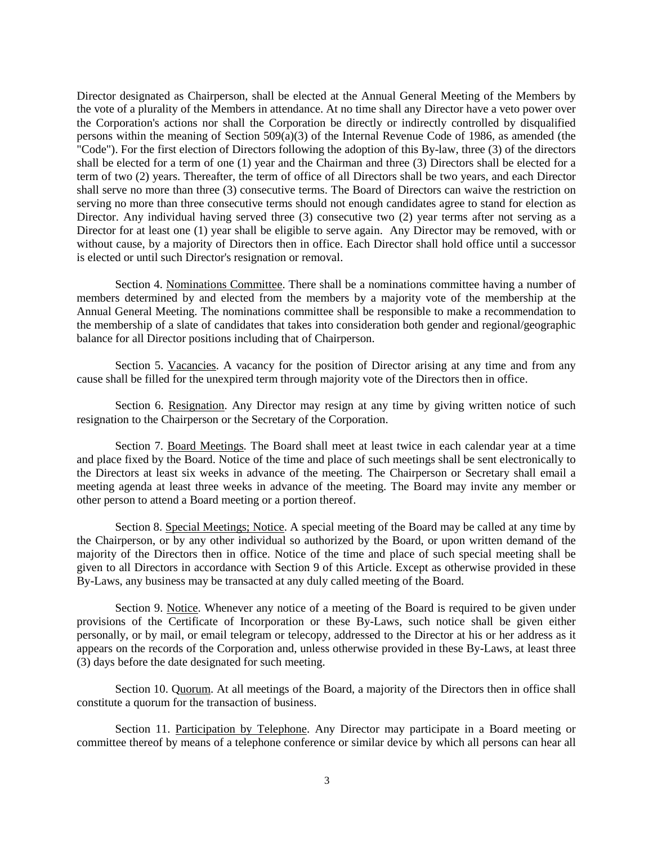Director designated as Chairperson, shall be elected at the Annual General Meeting of the Members by the vote of a plurality of the Members in attendance. At no time shall any Director have a veto power over the Corporation's actions nor shall the Corporation be directly or indirectly controlled by disqualified persons within the meaning of Section  $509(a)(3)$  of the Internal Revenue Code of 1986, as amended (the "Code"). For the first election of Directors following the adoption of this By-law, three (3) of the directors shall be elected for a term of one (1) year and the Chairman and three (3) Directors shall be elected for a term of two (2) years. Thereafter, the term of office of all Directors shall be two years, and each Director shall serve no more than three (3) consecutive terms. The Board of Directors can waive the restriction on serving no more than three consecutive terms should not enough candidates agree to stand for election as Director. Any individual having served three (3) consecutive two (2) year terms after not serving as a Director for at least one (1) year shall be eligible to serve again. Any Director may be removed, with or without cause, by a majority of Directors then in office. Each Director shall hold office until a successor is elected or until such Director's resignation or removal.

 Section 4. Nominations Committee. There shall be a nominations committee having a number of members determined by and elected from the members by a majority vote of the membership at the Annual General Meeting. The nominations committee shall be responsible to make a recommendation to the membership of a slate of candidates that takes into consideration both gender and regional/geographic balance for all Director positions including that of Chairperson.

 Section 5. Vacancies. A vacancy for the position of Director arising at any time and from any cause shall be filled for the unexpired term through majority vote of the Directors then in office.

 Section 6. Resignation. Any Director may resign at any time by giving written notice of such resignation to the Chairperson or the Secretary of the Corporation.

 Section 7. Board Meetings. The Board shall meet at least twice in each calendar year at a time and place fixed by the Board. Notice of the time and place of such meetings shall be sent electronically to the Directors at least six weeks in advance of the meeting. The Chairperson or Secretary shall email a meeting agenda at least three weeks in advance of the meeting. The Board may invite any member or other person to attend a Board meeting or a portion thereof.

 Section 8. Special Meetings; Notice. A special meeting of the Board may be called at any time by the Chairperson, or by any other individual so authorized by the Board, or upon written demand of the majority of the Directors then in office. Notice of the time and place of such special meeting shall be given to all Directors in accordance with Section 9 of this Article. Except as otherwise provided in these By-Laws, any business may be transacted at any duly called meeting of the Board.

 Section 9. Notice. Whenever any notice of a meeting of the Board is required to be given under provisions of the Certificate of Incorporation or these By-Laws, such notice shall be given either personally, or by mail, or email telegram or telecopy, addressed to the Director at his or her address as it appears on the records of the Corporation and, unless otherwise provided in these By-Laws, at least three (3) days before the date designated for such meeting.

Section 10. Quorum. At all meetings of the Board, a majority of the Directors then in office shall constitute a quorum for the transaction of business.

Section 11. Participation by Telephone. Any Director may participate in a Board meeting or committee thereof by means of a telephone conference or similar device by which all persons can hear all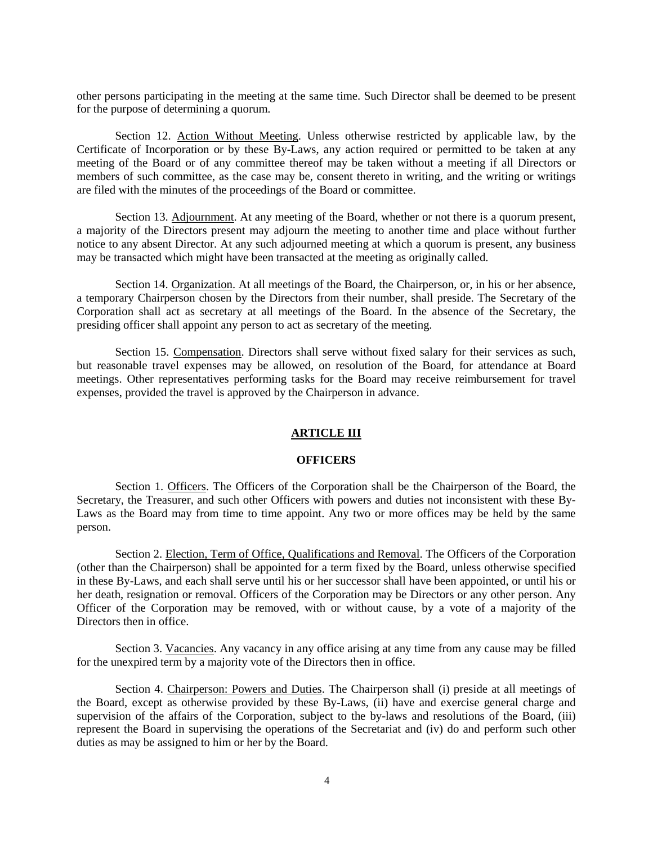other persons participating in the meeting at the same time. Such Director shall be deemed to be present for the purpose of determining a quorum.

 Section 12. Action Without Meeting. Unless otherwise restricted by applicable law, by the Certificate of Incorporation or by these By-Laws, any action required or permitted to be taken at any meeting of the Board or of any committee thereof may be taken without a meeting if all Directors or members of such committee, as the case may be, consent thereto in writing, and the writing or writings are filed with the minutes of the proceedings of the Board or committee.

 Section 13. Adjournment. At any meeting of the Board, whether or not there is a quorum present, a majority of the Directors present may adjourn the meeting to another time and place without further notice to any absent Director. At any such adjourned meeting at which a quorum is present, any business may be transacted which might have been transacted at the meeting as originally called.

 Section 14. Organization. At all meetings of the Board, the Chairperson, or, in his or her absence, a temporary Chairperson chosen by the Directors from their number, shall preside. The Secretary of the Corporation shall act as secretary at all meetings of the Board. In the absence of the Secretary, the presiding officer shall appoint any person to act as secretary of the meeting.

 Section 15. Compensation. Directors shall serve without fixed salary for their services as such, but reasonable travel expenses may be allowed, on resolution of the Board, for attendance at Board meetings. Other representatives performing tasks for the Board may receive reimbursement for travel expenses, provided the travel is approved by the Chairperson in advance.

### **ARTICLE III**

### **OFFICERS**

 Section 1. Officers. The Officers of the Corporation shall be the Chairperson of the Board, the Secretary, the Treasurer, and such other Officers with powers and duties not inconsistent with these By-Laws as the Board may from time to time appoint. Any two or more offices may be held by the same person.

 Section 2. Election, Term of Office, Qualifications and Removal. The Officers of the Corporation (other than the Chairperson) shall be appointed for a term fixed by the Board, unless otherwise specified in these By-Laws, and each shall serve until his or her successor shall have been appointed, or until his or her death, resignation or removal. Officers of the Corporation may be Directors or any other person. Any Officer of the Corporation may be removed, with or without cause, by a vote of a majority of the Directors then in office.

Section 3. Vacancies. Any vacancy in any office arising at any time from any cause may be filled for the unexpired term by a majority vote of the Directors then in office.

 Section 4. Chairperson: Powers and Duties. The Chairperson shall (i) preside at all meetings of the Board, except as otherwise provided by these By-Laws, (ii) have and exercise general charge and supervision of the affairs of the Corporation, subject to the by-laws and resolutions of the Board, (iii) represent the Board in supervising the operations of the Secretariat and (iv) do and perform such other duties as may be assigned to him or her by the Board.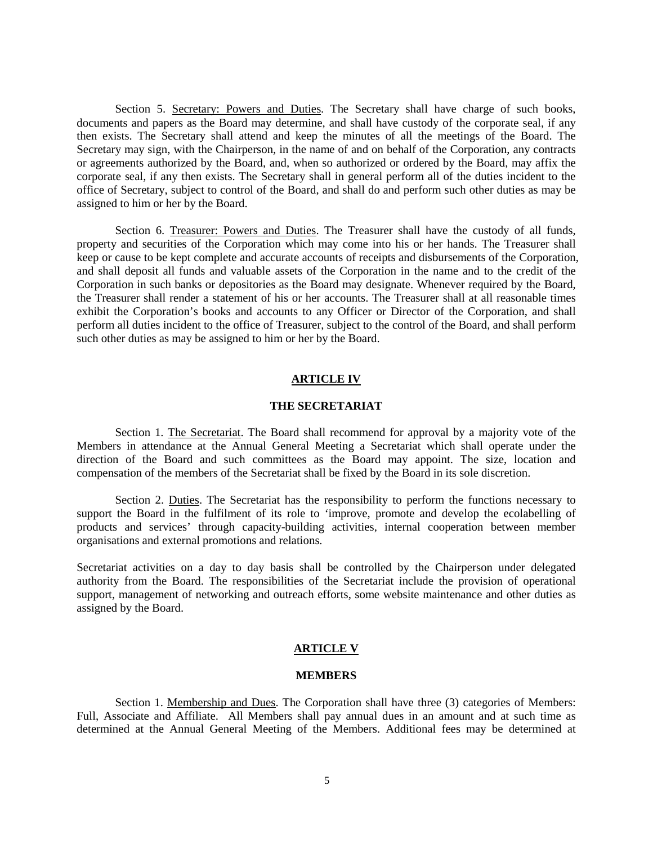Section 5. Secretary: Powers and Duties. The Secretary shall have charge of such books, documents and papers as the Board may determine, and shall have custody of the corporate seal, if any then exists. The Secretary shall attend and keep the minutes of all the meetings of the Board. The Secretary may sign, with the Chairperson, in the name of and on behalf of the Corporation, any contracts or agreements authorized by the Board, and, when so authorized or ordered by the Board, may affix the corporate seal, if any then exists. The Secretary shall in general perform all of the duties incident to the office of Secretary, subject to control of the Board, and shall do and perform such other duties as may be assigned to him or her by the Board.

Section 6. Treasurer: Powers and Duties. The Treasurer shall have the custody of all funds, property and securities of the Corporation which may come into his or her hands. The Treasurer shall keep or cause to be kept complete and accurate accounts of receipts and disbursements of the Corporation, and shall deposit all funds and valuable assets of the Corporation in the name and to the credit of the Corporation in such banks or depositories as the Board may designate. Whenever required by the Board, the Treasurer shall render a statement of his or her accounts. The Treasurer shall at all reasonable times exhibit the Corporation's books and accounts to any Officer or Director of the Corporation, and shall perform all duties incident to the office of Treasurer, subject to the control of the Board, and shall perform such other duties as may be assigned to him or her by the Board.

#### **ARTICLE IV**

#### **THE SECRETARIAT**

Section 1. The Secretariat. The Board shall recommend for approval by a majority vote of the Members in attendance at the Annual General Meeting a Secretariat which shall operate under the direction of the Board and such committees as the Board may appoint. The size, location and compensation of the members of the Secretariat shall be fixed by the Board in its sole discretion.

 Section 2. Duties. The Secretariat has the responsibility to perform the functions necessary to support the Board in the fulfilment of its role to 'improve, promote and develop the ecolabelling of products and services' through capacity-building activities, internal cooperation between member organisations and external promotions and relations.

Secretariat activities on a day to day basis shall be controlled by the Chairperson under delegated authority from the Board. The responsibilities of the Secretariat include the provision of operational support, management of networking and outreach efforts, some website maintenance and other duties as assigned by the Board.

#### **ARTICLE V**

#### **MEMBERS**

 Section 1. Membership and Dues. The Corporation shall have three (3) categories of Members: Full, Associate and Affiliate. All Members shall pay annual dues in an amount and at such time as determined at the Annual General Meeting of the Members. Additional fees may be determined at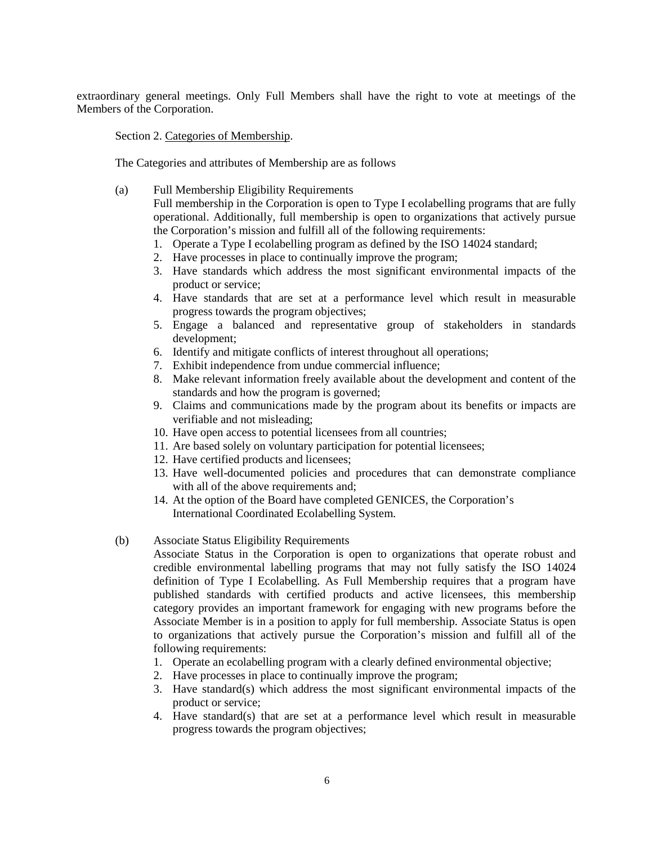extraordinary general meetings. Only Full Members shall have the right to vote at meetings of the Members of the Corporation.

Section 2. Categories of Membership.

The Categories and attributes of Membership are as follows

(a) Full Membership Eligibility Requirements

Full membership in the Corporation is open to Type I ecolabelling programs that are fully operational. Additionally, full membership is open to organizations that actively pursue the Corporation's mission and fulfill all of the following requirements:

- 1. Operate a Type I ecolabelling program as defined by the ISO 14024 standard;
- 2. Have processes in place to continually improve the program;
- 3. Have standards which address the most significant environmental impacts of the product or service;
- 4. Have standards that are set at a performance level which result in measurable progress towards the program objectives;
- 5. Engage a balanced and representative group of stakeholders in standards development;
- 6. Identify and mitigate conflicts of interest throughout all operations;
- 7. Exhibit independence from undue commercial influence;
- 8. Make relevant information freely available about the development and content of the standards and how the program is governed;
- 9. Claims and communications made by the program about its benefits or impacts are verifiable and not misleading;
- 10. Have open access to potential licensees from all countries;
- 11. Are based solely on voluntary participation for potential licensees;
- 12. Have certified products and licensees;
- 13. Have well-documented policies and procedures that can demonstrate compliance with all of the above requirements and;
- 14. At the option of the Board have completed GENICES, the Corporation's International Coordinated Ecolabelling System.
- (b) Associate Status Eligibility Requirements

Associate Status in the Corporation is open to organizations that operate robust and credible environmental labelling programs that may not fully satisfy the ISO 14024 definition of Type I Ecolabelling. As Full Membership requires that a program have published standards with certified products and active licensees, this membership category provides an important framework for engaging with new programs before the Associate Member is in a position to apply for full membership. Associate Status is open to organizations that actively pursue the Corporation's mission and fulfill all of the following requirements:

- 1. Operate an ecolabelling program with a clearly defined environmental objective;
- 2. Have processes in place to continually improve the program;
- 3. Have standard(s) which address the most significant environmental impacts of the product or service;
- 4. Have standard(s) that are set at a performance level which result in measurable progress towards the program objectives;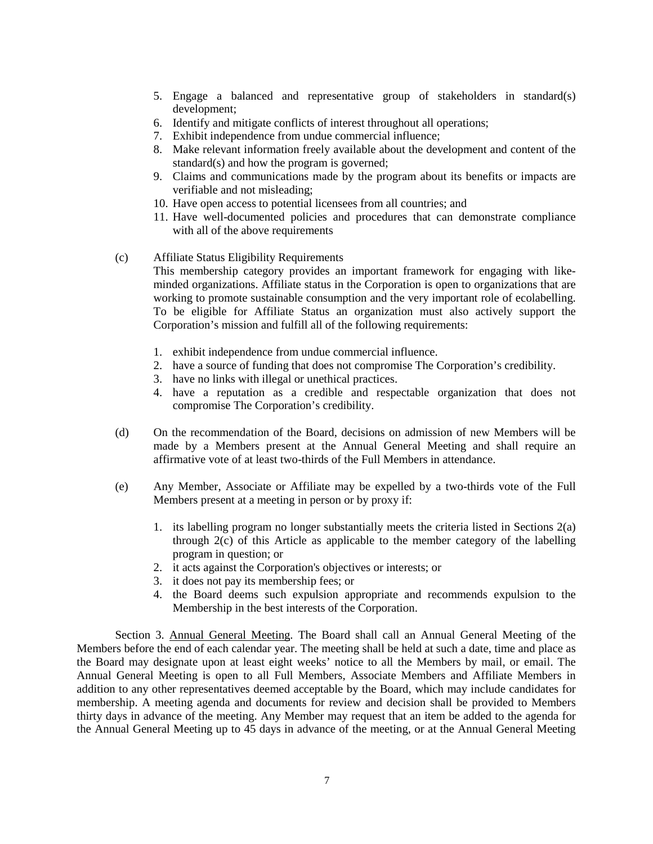- 5. Engage a balanced and representative group of stakeholders in standard(s) development;
- 6. Identify and mitigate conflicts of interest throughout all operations;
- 7. Exhibit independence from undue commercial influence;
- 8. Make relevant information freely available about the development and content of the standard(s) and how the program is governed;
- 9. Claims and communications made by the program about its benefits or impacts are verifiable and not misleading;
- 10. Have open access to potential licensees from all countries; and
- 11. Have well-documented policies and procedures that can demonstrate compliance with all of the above requirements
- (c) Affiliate Status Eligibility Requirements This membership category provides an important framework for engaging with likeminded organizations. Affiliate status in the Corporation is open to organizations that are working to promote sustainable consumption and the very important role of ecolabelling. To be eligible for Affiliate Status an organization must also actively support the Corporation's mission and fulfill all of the following requirements:
	- 1. exhibit independence from undue commercial influence.
	- 2. have a source of funding that does not compromise The Corporation's credibility.
	- 3. have no links with illegal or unethical practices.
	- 4. have a reputation as a credible and respectable organization that does not compromise The Corporation's credibility.
- (d) On the recommendation of the Board, decisions on admission of new Members will be made by a Members present at the Annual General Meeting and shall require an affirmative vote of at least two-thirds of the Full Members in attendance.
- (e) Any Member, Associate or Affiliate may be expelled by a two-thirds vote of the Full Members present at a meeting in person or by proxy if:
	- 1. its labelling program no longer substantially meets the criteria listed in Sections 2(a) through 2(c) of this Article as applicable to the member category of the labelling program in question; or
	- 2. it acts against the Corporation's objectives or interests; or
	- 3. it does not pay its membership fees; or
	- 4. the Board deems such expulsion appropriate and recommends expulsion to the Membership in the best interests of the Corporation.

 Section 3. Annual General Meeting. The Board shall call an Annual General Meeting of the Members before the end of each calendar year. The meeting shall be held at such a date, time and place as the Board may designate upon at least eight weeks' notice to all the Members by mail, or email. The Annual General Meeting is open to all Full Members, Associate Members and Affiliate Members in addition to any other representatives deemed acceptable by the Board, which may include candidates for membership. A meeting agenda and documents for review and decision shall be provided to Members thirty days in advance of the meeting. Any Member may request that an item be added to the agenda for the Annual General Meeting up to 45 days in advance of the meeting, or at the Annual General Meeting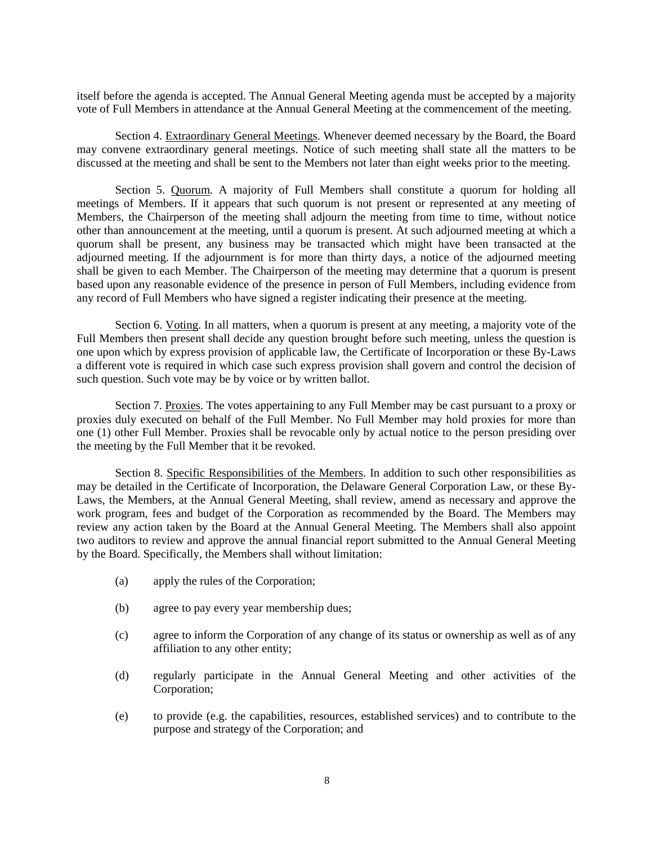itself before the agenda is accepted. The Annual General Meeting agenda must be accepted by a majority vote of Full Members in attendance at the Annual General Meeting at the commencement of the meeting.

 Section 4. Extraordinary General Meetings. Whenever deemed necessary by the Board, the Board may convene extraordinary general meetings. Notice of such meeting shall state all the matters to be discussed at the meeting and shall be sent to the Members not later than eight weeks prior to the meeting.

 Section 5. Quorum. A majority of Full Members shall constitute a quorum for holding all meetings of Members. If it appears that such quorum is not present or represented at any meeting of Members, the Chairperson of the meeting shall adjourn the meeting from time to time, without notice other than announcement at the meeting, until a quorum is present. At such adjourned meeting at which a quorum shall be present, any business may be transacted which might have been transacted at the adjourned meeting. If the adjournment is for more than thirty days, a notice of the adjourned meeting shall be given to each Member. The Chairperson of the meeting may determine that a quorum is present based upon any reasonable evidence of the presence in person of Full Members, including evidence from any record of Full Members who have signed a register indicating their presence at the meeting.

 Section 6. Voting. In all matters, when a quorum is present at any meeting, a majority vote of the Full Members then present shall decide any question brought before such meeting, unless the question is one upon which by express provision of applicable law, the Certificate of Incorporation or these By-Laws a different vote is required in which case such express provision shall govern and control the decision of such question. Such vote may be by voice or by written ballot.

 Section 7. Proxies. The votes appertaining to any Full Member may be cast pursuant to a proxy or proxies duly executed on behalf of the Full Member. No Full Member may hold proxies for more than one (1) other Full Member. Proxies shall be revocable only by actual notice to the person presiding over the meeting by the Full Member that it be revoked.

 Section 8. Specific Responsibilities of the Members. In addition to such other responsibilities as may be detailed in the Certificate of Incorporation, the Delaware General Corporation Law, or these By-Laws, the Members, at the Annual General Meeting, shall review, amend as necessary and approve the work program, fees and budget of the Corporation as recommended by the Board. The Members may review any action taken by the Board at the Annual General Meeting. The Members shall also appoint two auditors to review and approve the annual financial report submitted to the Annual General Meeting by the Board. Specifically, the Members shall without limitation:

- (a) apply the rules of the Corporation;
- (b) agree to pay every year membership dues;
- (c) agree to inform the Corporation of any change of its status or ownership as well as of any affiliation to any other entity;
- (d) regularly participate in the Annual General Meeting and other activities of the Corporation;
- (e) to provide (e.g. the capabilities, resources, established services) and to contribute to the purpose and strategy of the Corporation; and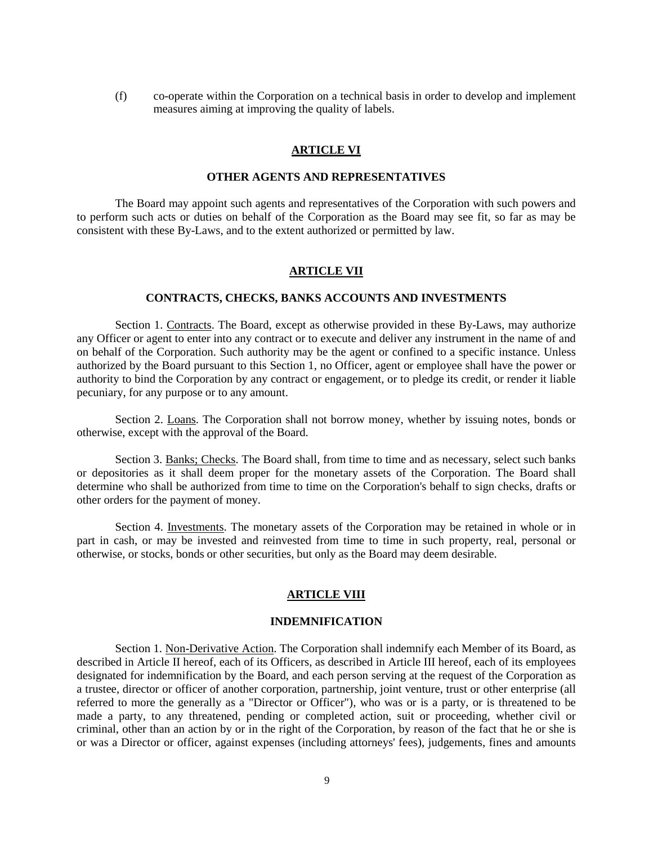(f) co-operate within the Corporation on a technical basis in order to develop and implement measures aiming at improving the quality of labels.

# **ARTICLE VI**

# **OTHER AGENTS AND REPRESENTATIVES**

 The Board may appoint such agents and representatives of the Corporation with such powers and to perform such acts or duties on behalf of the Corporation as the Board may see fit, so far as may be consistent with these By-Laws, and to the extent authorized or permitted by law.

#### **ARTICLE VII**

# **CONTRACTS, CHECKS, BANKS ACCOUNTS AND INVESTMENTS**

 Section 1. Contracts. The Board, except as otherwise provided in these By-Laws, may authorize any Officer or agent to enter into any contract or to execute and deliver any instrument in the name of and on behalf of the Corporation. Such authority may be the agent or confined to a specific instance. Unless authorized by the Board pursuant to this Section 1, no Officer, agent or employee shall have the power or authority to bind the Corporation by any contract or engagement, or to pledge its credit, or render it liable pecuniary, for any purpose or to any amount.

 Section 2. Loans. The Corporation shall not borrow money, whether by issuing notes, bonds or otherwise, except with the approval of the Board.

 Section 3. Banks; Checks. The Board shall, from time to time and as necessary, select such banks or depositories as it shall deem proper for the monetary assets of the Corporation. The Board shall determine who shall be authorized from time to time on the Corporation's behalf to sign checks, drafts or other orders for the payment of money.

 Section 4. Investments. The monetary assets of the Corporation may be retained in whole or in part in cash, or may be invested and reinvested from time to time in such property, real, personal or otherwise, or stocks, bonds or other securities, but only as the Board may deem desirable.

### **ARTICLE VIII**

#### **INDEMNIFICATION**

 Section 1. Non-Derivative Action. The Corporation shall indemnify each Member of its Board, as described in Article II hereof, each of its Officers, as described in Article III hereof, each of its employees designated for indemnification by the Board, and each person serving at the request of the Corporation as a trustee, director or officer of another corporation, partnership, joint venture, trust or other enterprise (all referred to more the generally as a "Director or Officer"), who was or is a party, or is threatened to be made a party, to any threatened, pending or completed action, suit or proceeding, whether civil or criminal, other than an action by or in the right of the Corporation, by reason of the fact that he or she is or was a Director or officer, against expenses (including attorneys' fees), judgements, fines and amounts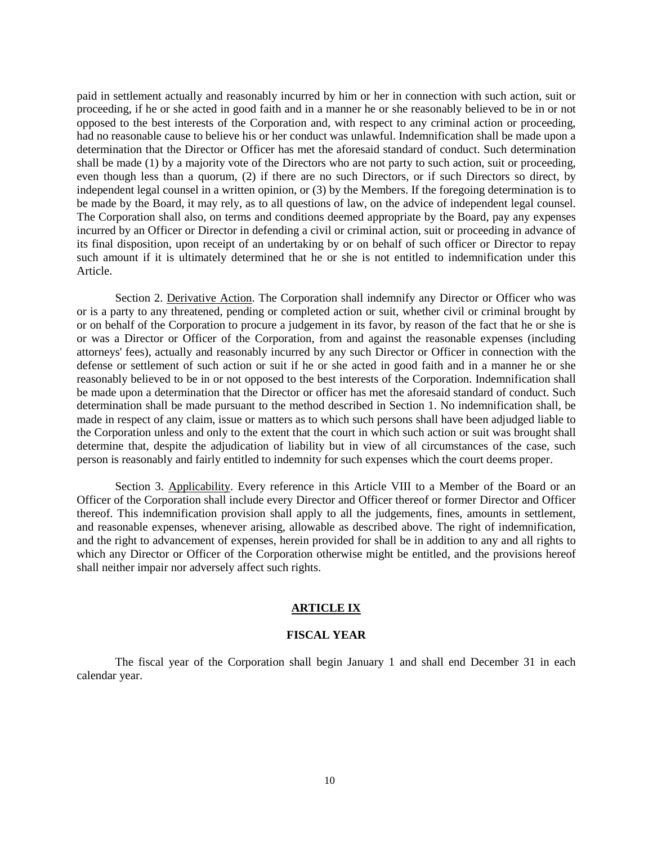paid in settlement actually and reasonably incurred by him or her in connection with such action, suit or proceeding, if he or she acted in good faith and in a manner he or she reasonably believed to be in or not opposed to the best interests of the Corporation and, with respect to any criminal action or proceeding, had no reasonable cause to believe his or her conduct was unlawful. Indemnification shall be made upon a determination that the Director or Officer has met the aforesaid standard of conduct. Such determination shall be made (1) by a majority vote of the Directors who are not party to such action, suit or proceeding, even though less than a quorum, (2) if there are no such Directors, or if such Directors so direct, by independent legal counsel in a written opinion, or (3) by the Members. If the foregoing determination is to be made by the Board, it may rely, as to all questions of law, on the advice of independent legal counsel. The Corporation shall also, on terms and conditions deemed appropriate by the Board, pay any expenses incurred by an Officer or Director in defending a civil or criminal action, suit or proceeding in advance of its final disposition, upon receipt of an undertaking by or on behalf of such officer or Director to repay such amount if it is ultimately determined that he or she is not entitled to indemnification under this Article.

 Section 2. Derivative Action. The Corporation shall indemnify any Director or Officer who was or is a party to any threatened, pending or completed action or suit, whether civil or criminal brought by or on behalf of the Corporation to procure a judgement in its favor, by reason of the fact that he or she is or was a Director or Officer of the Corporation, from and against the reasonable expenses (including attorneys' fees), actually and reasonably incurred by any such Director or Officer in connection with the defense or settlement of such action or suit if he or she acted in good faith and in a manner he or she reasonably believed to be in or not opposed to the best interests of the Corporation. Indemnification shall be made upon a determination that the Director or officer has met the aforesaid standard of conduct. Such determination shall be made pursuant to the method described in Section 1. No indemnification shall, be made in respect of any claim, issue or matters as to which such persons shall have been adjudged liable to the Corporation unless and only to the extent that the court in which such action or suit was brought shall determine that, despite the adjudication of liability but in view of all circumstances of the case, such person is reasonably and fairly entitled to indemnity for such expenses which the court deems proper.

Section 3. Applicability. Every reference in this Article VIII to a Member of the Board or an Officer of the Corporation shall include every Director and Officer thereof or former Director and Officer thereof. This indemnification provision shall apply to all the judgements, fines, amounts in settlement, and reasonable expenses, whenever arising, allowable as described above. The right of indemnification, and the right to advancement of expenses, herein provided for shall be in addition to any and all rights to which any Director or Officer of the Corporation otherwise might be entitled, and the provisions hereof shall neither impair nor adversely affect such rights.

### **ARTICLE IX**

### **FISCAL YEAR**

 The fiscal year of the Corporation shall begin January 1 and shall end December 31 in each calendar year.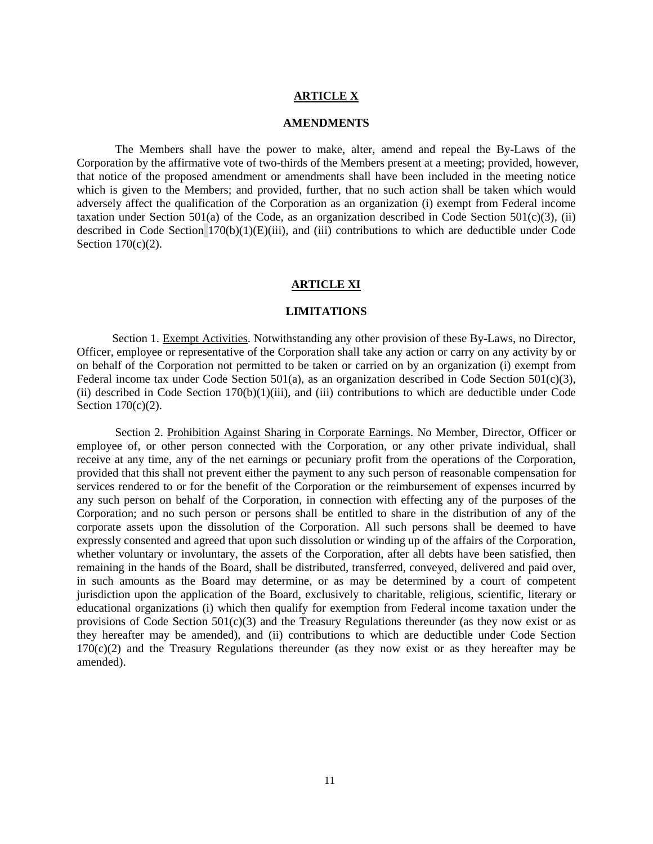# **ARTICLE X**

### **AMENDMENTS**

 The Members shall have the power to make, alter, amend and repeal the By-Laws of the Corporation by the affirmative vote of two-thirds of the Members present at a meeting; provided, however, that notice of the proposed amendment or amendments shall have been included in the meeting notice which is given to the Members; and provided, further, that no such action shall be taken which would adversely affect the qualification of the Corporation as an organization (i) exempt from Federal income taxation under Section 501(a) of the Code, as an organization described in Code Section 501(c)(3), (ii) described in Code Section 170(b)(1)(E)(iii), and (iii) contributions to which are deductible under Code Section  $170(c)(2)$ .

#### **ARTICLE XI**

#### **LIMITATIONS**

 Section 1. Exempt Activities. Notwithstanding any other provision of these By-Laws, no Director, Officer, employee or representative of the Corporation shall take any action or carry on any activity by or on behalf of the Corporation not permitted to be taken or carried on by an organization (i) exempt from Federal income tax under Code Section 501(a), as an organization described in Code Section 501(c)(3), (ii) described in Code Section 170(b)(1)(iii), and (iii) contributions to which are deductible under Code Section  $170(c)(2)$ .

 Section 2. Prohibition Against Sharing in Corporate Earnings. No Member, Director, Officer or employee of, or other person connected with the Corporation, or any other private individual, shall receive at any time, any of the net earnings or pecuniary profit from the operations of the Corporation, provided that this shall not prevent either the payment to any such person of reasonable compensation for services rendered to or for the benefit of the Corporation or the reimbursement of expenses incurred by any such person on behalf of the Corporation, in connection with effecting any of the purposes of the Corporation; and no such person or persons shall be entitled to share in the distribution of any of the corporate assets upon the dissolution of the Corporation. All such persons shall be deemed to have expressly consented and agreed that upon such dissolution or winding up of the affairs of the Corporation, whether voluntary or involuntary, the assets of the Corporation, after all debts have been satisfied, then remaining in the hands of the Board, shall be distributed, transferred, conveyed, delivered and paid over, in such amounts as the Board may determine, or as may be determined by a court of competent jurisdiction upon the application of the Board, exclusively to charitable, religious, scientific, literary or educational organizations (i) which then qualify for exemption from Federal income taxation under the provisions of Code Section  $501(c)(3)$  and the Treasury Regulations thereunder (as they now exist or as they hereafter may be amended), and (ii) contributions to which are deductible under Code Section 170(c)(2) and the Treasury Regulations thereunder (as they now exist or as they hereafter may be amended).